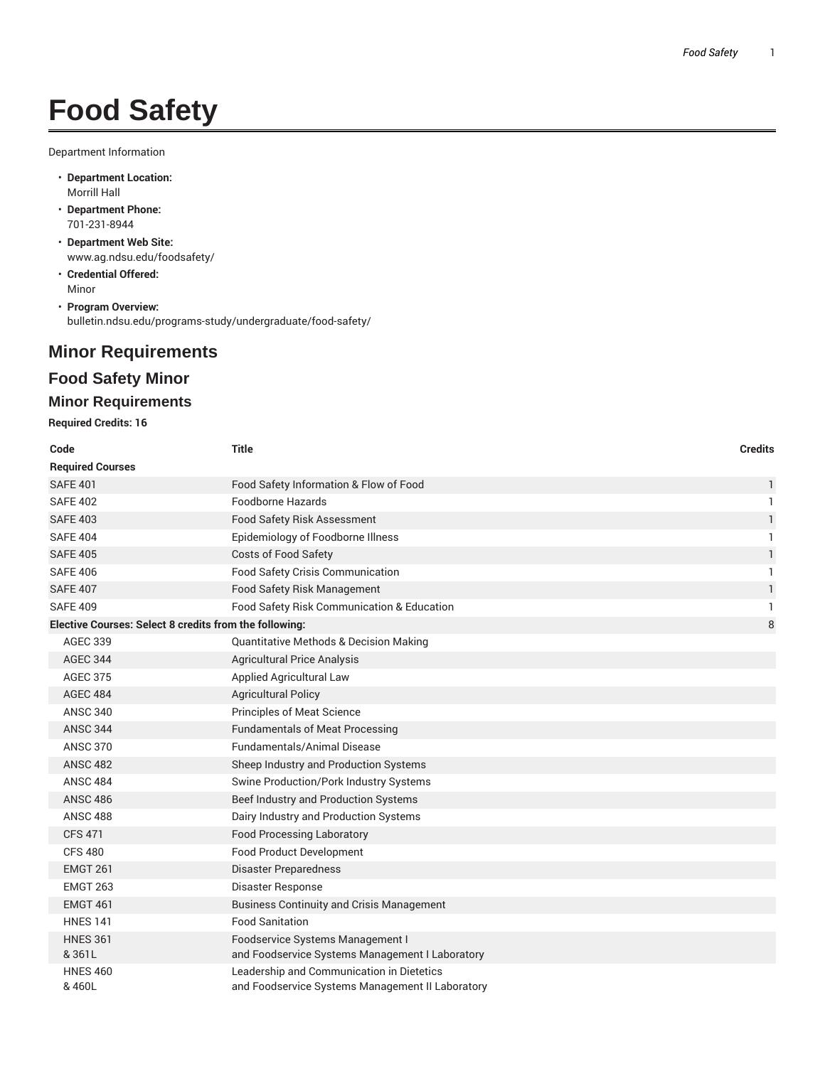# **Food Safety**

Department Information

- **Department Location:** Morrill Hall
- **Department Phone:** 701-231-8944
- **Department Web Site:** www.ag.ndsu.edu/foodsafety/
- **Credential Offered:** Minor
- **Program Overview:** bulletin.ndsu.edu/programs-study/undergraduate/food-safety/

## **Minor Requirements**

## **Food Safety Minor**

## **Minor Requirements**

**Required Credits: 16**

| Code                                                   | <b>Title</b>                                                                                  | <b>Credits</b> |  |  |
|--------------------------------------------------------|-----------------------------------------------------------------------------------------------|----------------|--|--|
| <b>Required Courses</b>                                |                                                                                               |                |  |  |
| <b>SAFE 401</b>                                        | Food Safety Information & Flow of Food                                                        | 1              |  |  |
| <b>SAFE 402</b>                                        | Foodborne Hazards                                                                             | $\mathbf{1}$   |  |  |
| <b>SAFE 403</b>                                        | Food Safety Risk Assessment                                                                   | $\mathbf{1}$   |  |  |
| <b>SAFE 404</b>                                        | Epidemiology of Foodborne Illness                                                             | $\mathbf{1}$   |  |  |
| <b>SAFE 405</b>                                        | Costs of Food Safety                                                                          | 1              |  |  |
| <b>SAFE 406</b>                                        | Food Safety Crisis Communication                                                              | $\mathbf{1}$   |  |  |
| <b>SAFE 407</b>                                        | Food Safety Risk Management                                                                   | $\mathbf{1}$   |  |  |
| <b>SAFE 409</b>                                        | Food Safety Risk Communication & Education                                                    | 1              |  |  |
| Elective Courses: Select 8 credits from the following: |                                                                                               |                |  |  |
| <b>AGEC 339</b>                                        | <b>Quantitative Methods &amp; Decision Making</b>                                             |                |  |  |
| <b>AGEC 344</b>                                        | <b>Agricultural Price Analysis</b>                                                            |                |  |  |
| <b>AGEC 375</b>                                        | Applied Agricultural Law                                                                      |                |  |  |
| <b>AGEC 484</b>                                        | <b>Agricultural Policy</b>                                                                    |                |  |  |
| <b>ANSC 340</b>                                        | <b>Principles of Meat Science</b>                                                             |                |  |  |
| <b>ANSC 344</b>                                        | <b>Fundamentals of Meat Processing</b>                                                        |                |  |  |
| <b>ANSC 370</b>                                        | <b>Fundamentals/Animal Disease</b>                                                            |                |  |  |
| <b>ANSC 482</b>                                        | Sheep Industry and Production Systems                                                         |                |  |  |
| <b>ANSC 484</b>                                        | Swine Production/Pork Industry Systems                                                        |                |  |  |
| <b>ANSC 486</b>                                        | Beef Industry and Production Systems                                                          |                |  |  |
| <b>ANSC 488</b>                                        | Dairy Industry and Production Systems                                                         |                |  |  |
| <b>CFS 471</b>                                         | <b>Food Processing Laboratory</b>                                                             |                |  |  |
| <b>CFS 480</b>                                         | <b>Food Product Development</b>                                                               |                |  |  |
| <b>EMGT 261</b>                                        | <b>Disaster Preparedness</b>                                                                  |                |  |  |
| <b>EMGT 263</b>                                        | <b>Disaster Response</b>                                                                      |                |  |  |
| <b>EMGT 461</b>                                        | <b>Business Continuity and Crisis Management</b>                                              |                |  |  |
| <b>HNES 141</b>                                        | <b>Food Sanitation</b>                                                                        |                |  |  |
| <b>HNES 361</b><br>&361L                               | Foodservice Systems Management I<br>and Foodservice Systems Management I Laboratory           |                |  |  |
| <b>HNES 460</b><br>& 460L                              | Leadership and Communication in Dietetics<br>and Foodservice Systems Management II Laboratory |                |  |  |